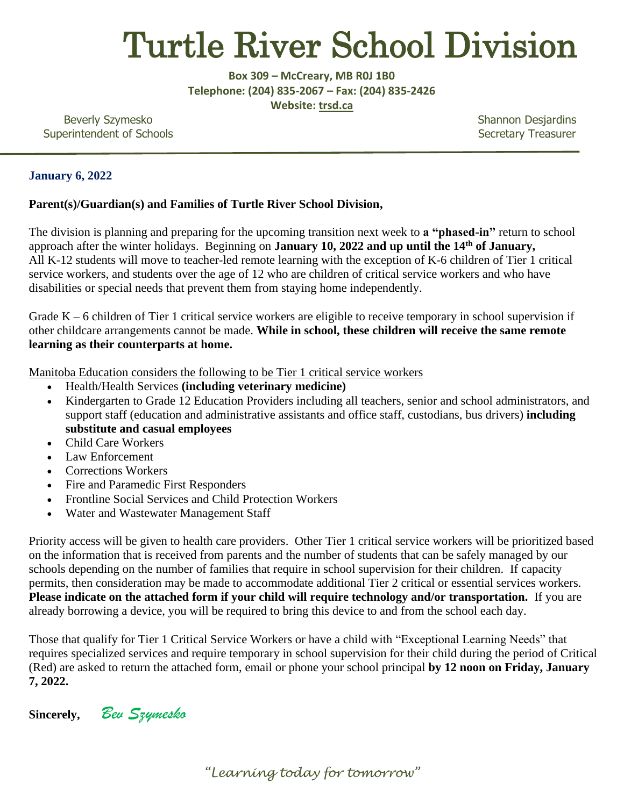# Turtle River School Division

**Box 309 – McCreary, MB R0J 1B0 Telephone: (204) 835-2067 – Fax: (204) 835-2426 Website: trsd.ca**

Beverly Szymesko Shannon Desjardins Superintendent of Schools **Superintendent of Schools** Secretary Treasurer

### **January 6, 2022**

### **Parent(s)/Guardian(s) and Families of Turtle River School Division,**

The division is planning and preparing for the upcoming transition next week to **a "phased-in"** return to school approach after the winter holidays. Beginning on **January 10, 2022 and up until the 14<sup>th</sup> of January,** All K-12 students will move to teacher-led remote learning with the exception of K-6 children of Tier 1 critical service workers, and students over the age of 12 who are children of critical service workers and who have disabilities or special needs that prevent them from staying home independently.

Grade K – 6 children of Tier 1 critical service workers are eligible to receive temporary in school supervision if other childcare arrangements cannot be made. **While in school, these children will receive the same remote learning as their counterparts at home.** 

Manitoba Education considers the following to be Tier 1 critical service workers

- Health/Health Services **(including veterinary medicine)**
- Kindergarten to Grade 12 Education Providers including all teachers, senior and school administrators, and support staff (education and administrative assistants and office staff, custodians, bus drivers) **including substitute and casual employees**
- Child Care Workers
- Law Enforcement
- Corrections Workers
- Fire and Paramedic First Responders
- Frontline Social Services and Child Protection Workers
- Water and Wastewater Management Staff

Priority access will be given to health care providers. Other Tier 1 critical service workers will be prioritized based on the information that is received from parents and the number of students that can be safely managed by our schools depending on the number of families that require in school supervision for their children. If capacity permits, then consideration may be made to accommodate additional Tier 2 critical or essential services workers. **Please indicate on the attached form if your child will require technology and/or transportation.** If you are already borrowing a device, you will be required to bring this device to and from the school each day.

Those that qualify for Tier 1 Critical Service Workers or have a child with "Exceptional Learning Needs" that requires specialized services and require temporary in school supervision for their child during the period of Critical (Red) are asked to return the attached form, email or phone your school principal **by 12 noon on Friday, January 7, 2022.**

**Sincerely,** *Bev Szymesko*

*"Learning today for tomorrow"*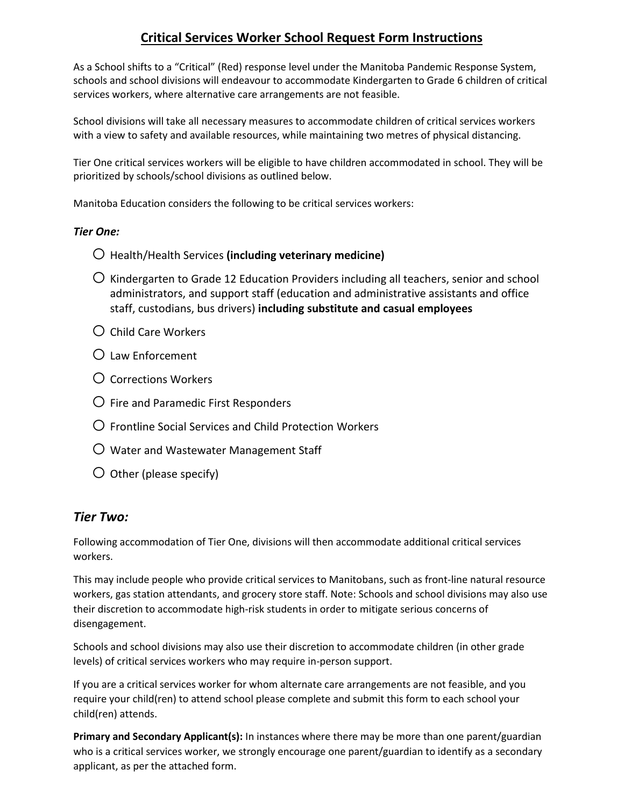## **Critical Services Worker School Request Form Instructions**

As a School shifts to a "Critical" (Red) response level under the Manitoba Pandemic Response System, schools and school divisions will endeavour to accommodate Kindergarten to Grade 6 children of critical services workers, where alternative care arrangements are not feasible.

School divisions will take all necessary measures to accommodate children of critical services workers with a view to safety and available resources, while maintaining two metres of physical distancing.

Tier One critical services workers will be eligible to have children accommodated in school. They will be prioritized by schools/school divisions as outlined below.

Manitoba Education considers the following to be critical services workers:

#### *Tier One:*

- o Health/Health Services **(including veterinary medicine)**
- $\overline{O}$  Kindergarten to Grade 12 Education Providers including all teachers, senior and school administrators, and support staff (education and administrative assistants and office staff, custodians, bus drivers) **including substitute and casual employees**
- $\overline{O}$  Child Care Workers
- $\Omega$  Law Enforcement
- $\Omega$  Corrections Workers
- $\bigcirc$  Fire and Paramedic First Responders
- $\overline{O}$  Frontline Social Services and Child Protection Workers
- $\bigcirc$  Water and Wastewater Management Staff
- $\bigcirc$  Other (please specify)

#### *Tier Two:*

Following accommodation of Tier One, divisions will then accommodate additional critical services workers.

This may include people who provide critical services to Manitobans, such as front-line natural resource workers, gas station attendants, and grocery store staff. Note: Schools and school divisions may also use their discretion to accommodate high-risk students in order to mitigate serious concerns of disengagement.

Schools and school divisions may also use their discretion to accommodate children (in other grade levels) of critical services workers who may require in-person support.

If you are a critical services worker for whom alternate care arrangements are not feasible, and you require your child(ren) to attend school please complete and submit this form to each school your child(ren) attends.

**Primary and Secondary Applicant(s):** In instances where there may be more than one parent/guardian who is a critical services worker, we strongly encourage one parent/guardian to identify as a secondary applicant, as per the attached form.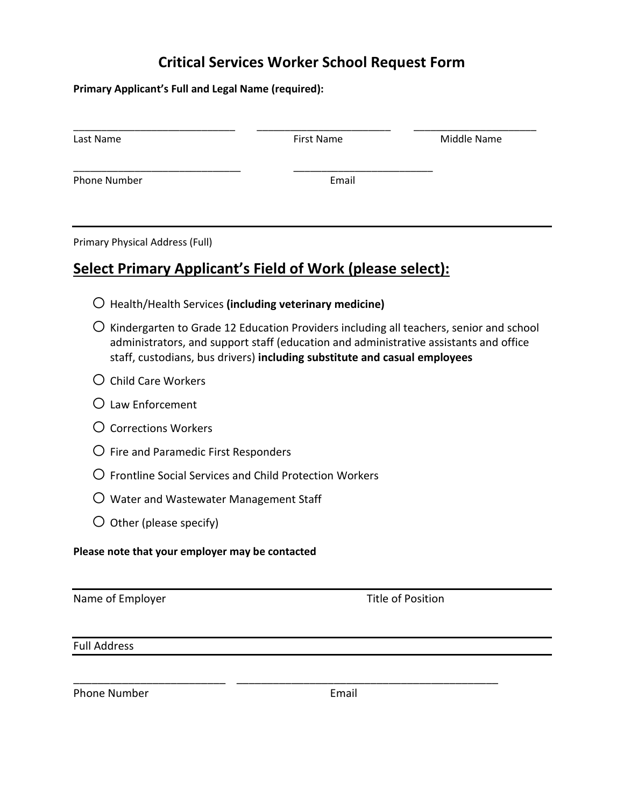## **Critical Services Worker School Request Form**

**Primary Applicant's Full and Legal Name (required):**

| Last Name           | <b>First Name</b> | Middle Name |
|---------------------|-------------------|-------------|
| <b>Phone Number</b> | Email             |             |
|                     |                   |             |

Primary Physical Address (Full)

## **Select Primary Applicant's Field of Work (please select):**

- o Health/Health Services **(including veterinary medicine)**
- $\overline{O}$  Kindergarten to Grade 12 Education Providers including all teachers, senior and school administrators, and support staff (education and administrative assistants and office staff, custodians, bus drivers) **including substitute and casual employees**
- $O$  Child Care Workers
- $O$  Law Enforcement
- $\Omega$  Corrections Workers
- $\bigcirc$  Fire and Paramedic First Responders
- $\overline{O}$  Frontline Social Services and Child Protection Workers
- $\bigcirc$  Water and Wastewater Management Staff
- $\bigcirc$  Other (please specify)

**Please note that your employer may be contacted**

| Name of Employer |  |  |
|------------------|--|--|
|------------------|--|--|

Title of Position

#### Full Address

Phone Number **Email** 

\_\_\_\_\_\_\_\_\_\_\_\_\_\_\_\_\_\_\_\_\_\_\_\_\_ \_\_\_\_\_\_\_\_\_\_\_\_\_\_\_\_\_\_\_\_\_\_\_\_\_\_\_\_\_\_\_\_\_\_\_\_\_\_\_\_\_\_\_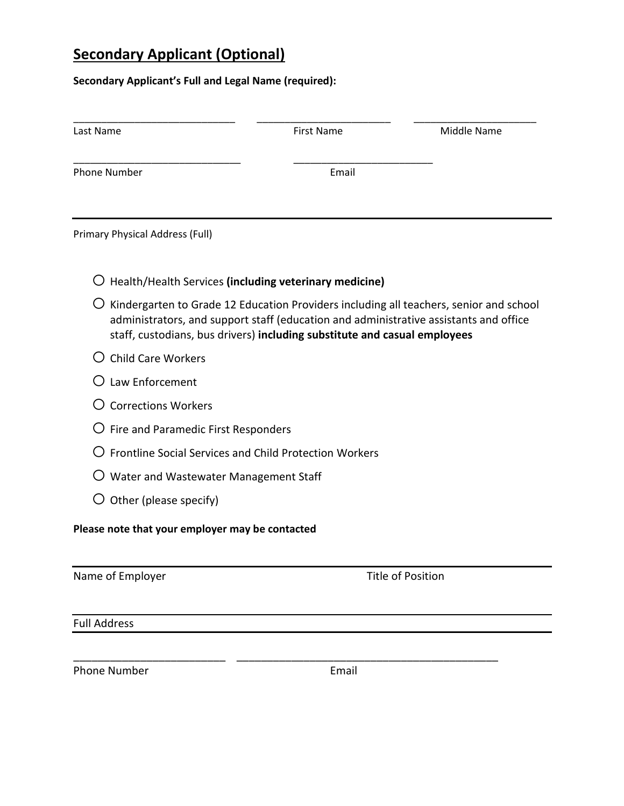# **Secondary Applicant (Optional)**

## **Secondary Applicant's Full and Legal Name (required):**

| Last Name                                                                                                                                                                                                                                                    | <b>First Name</b> | Middle Name              |
|--------------------------------------------------------------------------------------------------------------------------------------------------------------------------------------------------------------------------------------------------------------|-------------------|--------------------------|
| <b>Phone Number</b>                                                                                                                                                                                                                                          | Email             |                          |
| Primary Physical Address (Full)                                                                                                                                                                                                                              |                   |                          |
| Health/Health Services (including veterinary medicine)                                                                                                                                                                                                       |                   |                          |
| Kindergarten to Grade 12 Education Providers including all teachers, senior and school<br>administrators, and support staff (education and administrative assistants and office<br>staff, custodians, bus drivers) including substitute and casual employees |                   |                          |
| <b>Child Care Workers</b>                                                                                                                                                                                                                                    |                   |                          |
| Law Enforcement                                                                                                                                                                                                                                              |                   |                          |
| <b>Corrections Workers</b>                                                                                                                                                                                                                                   |                   |                          |
| Fire and Paramedic First Responders                                                                                                                                                                                                                          |                   |                          |
| Frontline Social Services and Child Protection Workers                                                                                                                                                                                                       |                   |                          |
| $\bigcirc$ Water and Wastewater Management Staff                                                                                                                                                                                                             |                   |                          |
| $\bigcirc$ Other (please specify)                                                                                                                                                                                                                            |                   |                          |
| Please note that your employer may be contacted                                                                                                                                                                                                              |                   |                          |
| Name of Employer                                                                                                                                                                                                                                             |                   | <b>Title of Position</b> |
| <b>Full Address</b>                                                                                                                                                                                                                                          |                   |                          |
|                                                                                                                                                                                                                                                              |                   |                          |

Phone Number **Email** 

\_\_\_\_\_\_\_\_\_\_\_\_\_\_\_\_\_\_\_\_\_\_\_\_\_ \_\_\_\_\_\_\_\_\_\_\_\_\_\_\_\_\_\_\_\_\_\_\_\_\_\_\_\_\_\_\_\_\_\_\_\_\_\_\_\_\_\_\_